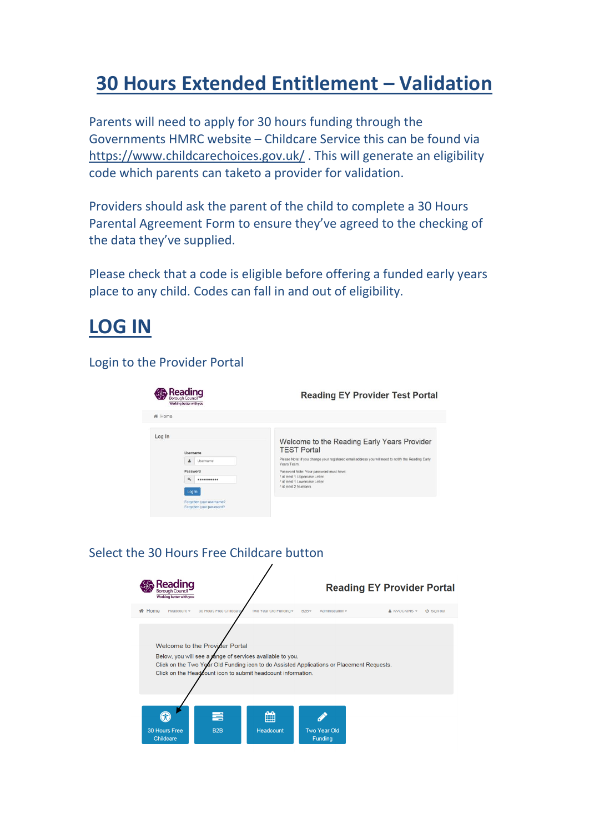# **30 Hours Extended Entitlement – Validation**

Parents will need to apply for 30 hours funding through the Governments HMRC website – Childcare Service this can be found via <https://www.childcarechoices.gov.uk/> . This will generate an eligibility code which parents can taketo a provider for validation.

Providers should ask the parent of the child to complete a 30 Hours Parental Agreement Form to ensure they've agreed to the checking of the data they've supplied.

Please check that a code is eligible before offering a funded early years place to any child. Codes can fall in and out of eligibility.

### **LOG IN**

#### Login to the Provider Portal

| Reading<br>Borough Council<br>Working better with you                                                                               | <b>Reading EY Provider Test Portal</b>                                                                                                                                                                                                                                                                                      |
|-------------------------------------------------------------------------------------------------------------------------------------|-----------------------------------------------------------------------------------------------------------------------------------------------------------------------------------------------------------------------------------------------------------------------------------------------------------------------------|
| # Home                                                                                                                              |                                                                                                                                                                                                                                                                                                                             |
| Log In<br>Username<br>ዹ<br>Usemame<br>Password<br>a<br>**********<br>Log in<br>Forgotten your username?<br>Forgotten your password? | Welcome to the Reading Early Years Provider<br><b>TEST Portal</b><br>Please Note: if you change your registered email address you will need to notify the Reading Early<br>Years Team.<br>Password Note: Your password must have:<br>* at least 1 Uppercase Letter<br>* at least 1 Lowercase Letter<br>* at least 2 Numbers |

#### Select the 30 Hours Free Childcare button

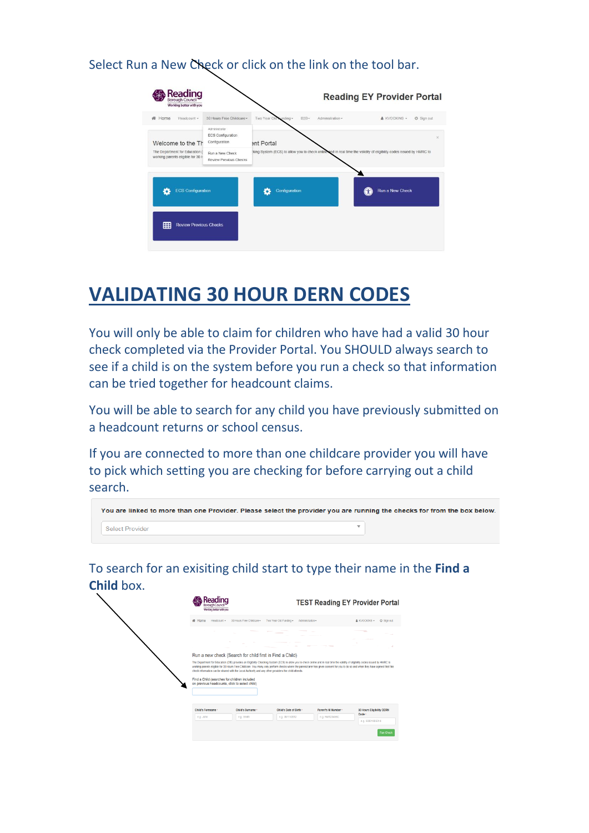Select Run a New Check or click on the link on the tool bar.



## **VALIDATING 30 HOUR DERN CODES**

You will only be able to claim for children who have had a valid 30 hour check completed via the Provider Portal. You SHOULD always search to see if a child is on the system before you run a check so that information can be tried together for headcount claims.

You will be able to search for any child you have previously submitted on a headcount returns or school census.

If you are connected to more than one childcare provider you will have to pick which setting you are checking for before carrying out a child search.

| You are linked to more than one Provider. Please select the provider you are running the checks for from the box below. |  |
|-------------------------------------------------------------------------------------------------------------------------|--|
| Select Provider                                                                                                         |  |

To search for an exisiting child start to type their name in the **Find a Child** box.

| Working better with you                                                                        |                                                                                                     |                                                                                                                                                                                    |                      | <b>TEST Reading EY Provider Portal</b>                                                                                                                                           |
|------------------------------------------------------------------------------------------------|-----------------------------------------------------------------------------------------------------|------------------------------------------------------------------------------------------------------------------------------------------------------------------------------------|----------------------|----------------------------------------------------------------------------------------------------------------------------------------------------------------------------------|
| # Home<br>Headcount +                                                                          | 30 Hours Free Childcare -                                                                           | Two Year Old Funding -<br>Administration -                                                                                                                                         |                      | & KVOCKINS -<br><b>C</b> Sign out                                                                                                                                                |
|                                                                                                |                                                                                                     |                                                                                                                                                                                    |                      | $\overline{\phantom{a}}$                                                                                                                                                         |
|                                                                                                |                                                                                                     |                                                                                                                                                                                    |                      |                                                                                                                                                                                  |
|                                                                                                | Run a new check (Search for child first in Find a Child)                                            |                                                                                                                                                                                    |                      |                                                                                                                                                                                  |
| Find a Child (searches for children included<br>on previous headcounts, click to select child) | check information can be shared with the Local Authority and any other providers the child attends. | The Department for Education (DfE) provides an Eligibility Checking System (ECS) to allow you to check online and in real time the validity of eligibility codes issued by HMRC to |                      | working parents eligible for 30 Hours Free Childcare. You many only perform checks where the parent/carer has given consent for you to do so and when they have agreed that this |
| Child's Forename                                                                               | Child's Surname -                                                                                   | Child's Date of Birth                                                                                                                                                              | Parent's NI Number - | 30 Hours Eligibility DERN                                                                                                                                                        |
| e.g. John                                                                                      | e.g. Smith                                                                                          | e.g. 30/11/2012                                                                                                                                                                    | e.g. NM123456C       | Code -<br>e.g. 50001005014                                                                                                                                                       |
|                                                                                                |                                                                                                     |                                                                                                                                                                                    |                      | <b>Run Check</b>                                                                                                                                                                 |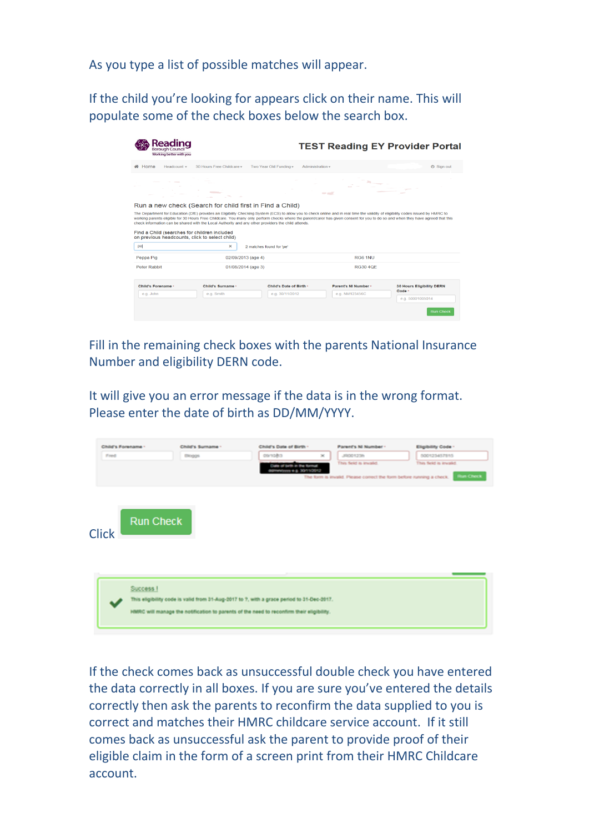As you type a list of possible matches will appear.

If the child you're looking for appears click on their name. This will populate some of the check boxes below the search box.

| Reading<br><b>Borough Council</b><br>Working better with you                                                                                                                                                                                                                                                                                                                                |                               |                          | <b>TEST Reading EY Provider Portal</b> |                      |                                                                                                                                                                                  |  |  |  |  |
|---------------------------------------------------------------------------------------------------------------------------------------------------------------------------------------------------------------------------------------------------------------------------------------------------------------------------------------------------------------------------------------------|-------------------------------|--------------------------|----------------------------------------|----------------------|----------------------------------------------------------------------------------------------------------------------------------------------------------------------------------|--|--|--|--|
| # Home<br>Headcount $\star$                                                                                                                                                                                                                                                                                                                                                                 | 30 Hours Free Childcare -     | Two Year Old Funding -   | Administration $\sim$                  |                      | <b>少 Sign out</b>                                                                                                                                                                |  |  |  |  |
|                                                                                                                                                                                                                                                                                                                                                                                             |                               |                          | $ -$                                   |                      |                                                                                                                                                                                  |  |  |  |  |
| Run a new check (Search for child first in Find a Child)                                                                                                                                                                                                                                                                                                                                    |                               |                          |                                        |                      |                                                                                                                                                                                  |  |  |  |  |
| The Department for Education (DfE) provides an Eligibility Checking System (ECS) to allow you to check online and in real time the validity of eligibility codes issued by HMRC to<br>check information can be shared with the Local Authority and any other providers the child attends.<br>Find a Child (searches for children included<br>on previous headcounts, click to select child) |                               |                          |                                        |                      | working parents eligible for 30 Hours Free Childcare. You many only perform checks where the parent/carer has given consent for you to do so and when they have agreed that this |  |  |  |  |
| pe                                                                                                                                                                                                                                                                                                                                                                                          | $\times$                      | 2 matches found for 'pe' |                                        |                      |                                                                                                                                                                                  |  |  |  |  |
| Peppa Pig                                                                                                                                                                                                                                                                                                                                                                                   | 02/09/2013 (age 4)            |                          |                                        |                      |                                                                                                                                                                                  |  |  |  |  |
| <b>Peter Rabbit</b>                                                                                                                                                                                                                                                                                                                                                                         | $01/08/2014$ (age 3)          |                          |                                        | <b>RG30 4QE</b>      |                                                                                                                                                                                  |  |  |  |  |
| <b>Child's Forename -</b>                                                                                                                                                                                                                                                                                                                                                                   | Child's Surname *             | Child's Date of Birth -  |                                        | Parent's NI Number - | <b>30 Hours Eligibility DERN</b><br>Code *                                                                                                                                       |  |  |  |  |
| e.a. John                                                                                                                                                                                                                                                                                                                                                                                   | e.g. Smith<br>e.g. 30/11/2012 |                          |                                        | e.g. NM123456C       | e.g. 50001005014                                                                                                                                                                 |  |  |  |  |
|                                                                                                                                                                                                                                                                                                                                                                                             |                               |                          |                                        |                      |                                                                                                                                                                                  |  |  |  |  |
|                                                                                                                                                                                                                                                                                                                                                                                             |                               |                          |                                        |                      | <b>Run Check</b>                                                                                                                                                                 |  |  |  |  |

Fill in the remaining check boxes with the parents National Insurance Number and eligibility DERN code.

It will give you an error message if the data is in the wrong format. Please enter the date of birth as DD/MM/YYYY.

| Child's Forename - |                  | Child's Surname - | Child's Date of Birth -                                                                                                                                                               | <b>Parent's NI Number-</b>                                                                     | Eligibility Code -                         |
|--------------------|------------------|-------------------|---------------------------------------------------------------------------------------------------------------------------------------------------------------------------------------|------------------------------------------------------------------------------------------------|--------------------------------------------|
| Fred               |                  | <b>Bloggs</b>     | parsolits<br>$\mathcal{M}_1$                                                                                                                                                          | JR00123h                                                                                       | 500123457815                               |
|                    |                  |                   | Date of brth in the formal<br>crobining a a converse                                                                                                                                  | This field is invalid.<br>The form is invalid. Please correct the form before running a check. | This field is invalid.<br><b>Run Check</b> |
| <b>Click</b>       | <b>Run Check</b> |                   |                                                                                                                                                                                       |                                                                                                |                                            |
|                    | Success I        |                   | This eligibility code is valid from 31-Aug-2017 to 7, with a grace period to 31-Dec-2017.<br>HMRC will manage the notification to parents of the need to reconfirm their eligibility. |                                                                                                |                                            |

If the check comes back as unsuccessful double check you have entered the data correctly in all boxes. If you are sure you've entered the details correctly then ask the parents to reconfirm the data supplied to you is correct and matches their HMRC childcare service account. If it still comes back as unsuccessful ask the parent to provide proof of their eligible claim in the form of a screen print from their HMRC Childcare account.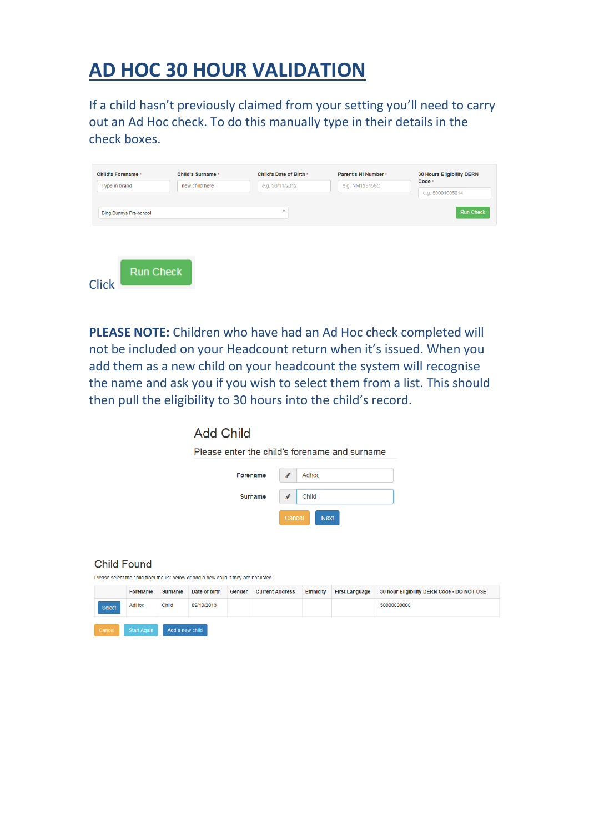# **AD HOC 30 HOUR VALIDATION**

If a child hasn't previously claimed from your setting you'll need to carry out an Ad Hoc check. To do this manually type in their details in the check boxes.

| <b>Child's Forename *</b>     | Child's Surname * | Child's Date of Birth * | Parent's NI Number * | 30 Hours Eligibility DERN |  |  |
|-------------------------------|-------------------|-------------------------|----------------------|---------------------------|--|--|
| Type in brand                 | new child here    | e.g. 30/11/2012         | e.g. NM123456C       | Code *                    |  |  |
|                               |                   |                         |                      | e.g. 50001005014          |  |  |
| <b>Bing Bunnys Pre-school</b> |                   | $\mathbf{v}$            |                      | <b>Run Check</b>          |  |  |
|                               |                   |                         |                      |                           |  |  |
|                               |                   |                         |                      |                           |  |  |
|                               |                   |                         |                      |                           |  |  |
|                               |                   |                         |                      |                           |  |  |
|                               |                   |                         |                      |                           |  |  |
| <b>Run Check</b>              |                   |                         |                      |                           |  |  |

**PLEASE NOTE:** Children who have had an Ad Hoc check completed will not be included on your Headcount return when it's issued. When you add them as a new child on your headcount the system will recognise the name and ask you if you wish to select them from a list. This should then pull the eligibility to 30 hours into the child's record.

| <b>Add Child</b> |  |
|------------------|--|
|                  |  |

Please enter the child's forename and surname

| Forename       |        | Adhoc       |  |
|----------------|--------|-------------|--|
| <b>Surname</b> |        | Child       |  |
|                | Cancel | <b>Next</b> |  |

#### **Child Found**

Please select the child from the list below or add a new child if they are not listed

|        | Forename                     | <b>Surname</b>  | Date of birth | Gender | <b>Current Address</b> | <b>Ethnicity</b> | <b>First Language</b> | 30 hour Eligibility DERN Code - DO NOT USE |
|--------|------------------------------|-----------------|---------------|--------|------------------------|------------------|-----------------------|--------------------------------------------|
| Select | 09/10/2013<br>Child<br>AdHoc |                 |               |        |                        | 50000000000      |                       |                                            |
| Cancel | <b>Start Again</b>           | Add a new child |               |        |                        |                  |                       |                                            |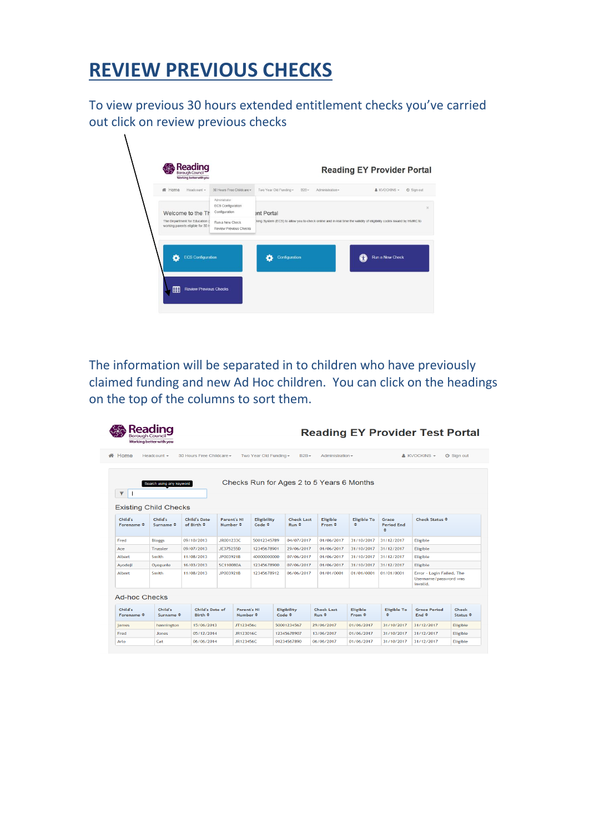# **REVIEW PREVIOUS CHECKS**

To view previous 30 hours extended entitlement checks you've carried out click on review previous checks

| # Home<br>Headcount +                                               | 30 Hours Free Childcare -                           | Two Year Old Funding -<br>$B2B+$<br>Administration -                                                                 | (b) Sign out<br>& KVOCKINS - |
|---------------------------------------------------------------------|-----------------------------------------------------|----------------------------------------------------------------------------------------------------------------------|------------------------------|
| Welcome to the Th                                                   | Administrator<br>ECS Configuration<br>Configuration | ent Portal                                                                                                           |                              |
| The Department for Education (<br>working parents eligible for 30 F | Run a New Check<br>Review Previous Checks           | ;king System (ECS) to allow you to check online and in real time the validity of eligibility codes issued by HMRC to |                              |
|                                                                     |                                                     |                                                                                                                      |                              |
| <b>ECS Configuration</b>                                            |                                                     | Configuration                                                                                                        | Run a New Check<br>60        |
|                                                                     |                                                     |                                                                                                                      |                              |

The information will be separated in to children who have previously claimed funding and new Ad Hoc children. You can click on the headings on the top of the columns to sort them.

| Borouah Council                                                                                                                  | Working better with you         |                                                   |                                           |                                           |                            |  |                                   |                                           |                                  |                                 | <b>Reading EY Provider Test Portal</b>                         |                                   |
|----------------------------------------------------------------------------------------------------------------------------------|---------------------------------|---------------------------------------------------|-------------------------------------------|-------------------------------------------|----------------------------|--|-----------------------------------|-------------------------------------------|----------------------------------|---------------------------------|----------------------------------------------------------------|-----------------------------------|
| <b>备 Home</b>                                                                                                                    | Headcount $\sim$                | 30 Hours Free Childcare -                         |                                           |                                           | Two Year Old Funding -     |  | $B2B -$                           | Administration -                          |                                  |                                 | $k$ KVOCKINS $\sim$                                            | <b>の Sign out</b>                 |
| Checks Run for Ages 2 to 5 Years 6 Months<br>Search using any keyword<br>$\overline{\mathbf{Y}}$<br><b>Existing Child Checks</b> |                                 |                                                   |                                           |                                           |                            |  |                                   |                                           |                                  |                                 |                                                                |                                   |
| Child's<br>Forename $\Leftrightarrow$                                                                                            | Child's<br>Surname $\triangleq$ | <b>Child's Date</b><br>of Birth $\Leftrightarrow$ | <b>Parent's NI</b><br>Number $\triangleq$ |                                           | <b>Eligibility</b><br>Code |  | <b>Check Last</b><br>$Run$ $\div$ | <b>Eligible</b><br>$From \Leftrightarrow$ | <b>Eligible To</b><br>٠          | Grace<br><b>Period End</b><br>٠ | Check Status $\Leftrightarrow$                                 |                                   |
| Fred                                                                                                                             | <b>Bloggs</b>                   | 09/10/2013                                        | JR001233C                                 |                                           | 50012345789                |  | 04/07/2017                        | 01/06/2017                                | 31/10/2017                       | 31/12/2017                      | Eligible                                                       |                                   |
| Ace                                                                                                                              | <b>Trussler</b>                 | 09/07/2013                                        | JE375255D                                 |                                           | 12345678901                |  | 29/06/2017                        | 01/06/2017                                | 31/10/2017                       | 31/12/2017                      | Eligible                                                       |                                   |
| Albert                                                                                                                           | <b>Smith</b>                    | 11/08/2013                                        | JP003921B                                 |                                           | 40000000000                |  | 07/06/2017                        | 01/06/2017                                | 31/10/2017                       | 31/12/2017                      | <b>Eligible</b>                                                |                                   |
| Avodeji                                                                                                                          | Ovegunle                        | 16/03/2013                                        | <b>SC110080A</b>                          |                                           | 12345678900                |  | 07/06/2017                        | 01/06/2017                                | 31/10/2017                       | 31/12/2017                      | <b>Eligible</b>                                                |                                   |
| <b>Albert</b>                                                                                                                    | Smith                           | 11/08/2013                                        | JP003921B                                 |                                           | 12345678912                |  | 06/06/2017                        |                                           | 01/01/0001                       | 01/01/0001                      | Error - Login Failed. The<br>Username/password was<br>invalid. |                                   |
| <b>Ad-hoc Checks</b>                                                                                                             |                                 |                                                   |                                           |                                           |                            |  |                                   |                                           |                                  |                                 |                                                                |                                   |
| Child's<br>Forename $\Leftrightarrow$                                                                                            | Child's<br>Surname $\hat{z}$    | Child's Date of<br>Birth $\div$                   |                                           | <b>Parent's NI</b><br>Number $\triangleq$ |                            |  | <b>Eligibility</b><br>Code        | <b>Check Last</b><br>$Run$ $\div$         | <b>Eligible</b><br>$From \oplus$ | <b>Eligible To</b><br>÷         | <b>Grace Period</b><br>End $\Leftrightarrow$                   | Check<br>Status $\Leftrightarrow$ |
| james                                                                                                                            | hannington                      | 15/06/2013                                        |                                           | JT123456c                                 |                            |  | 50001234567                       | 29/06/2017                                | 01/06/2017                       | 31/10/2017                      | 31/12/2017                                                     | <b>Eligible</b>                   |
| Fred                                                                                                                             | Jones                           | 05/12/2014                                        |                                           | JR123016C                                 |                            |  | 12345678907                       | 13/06/2017                                | 01/06/2017                       | 31/10/2017                      | 31/12/2017                                                     | <b>Eligible</b>                   |
| Arlo                                                                                                                             | Cat                             | 06/06/2014                                        |                                           | JR123456C                                 |                            |  | 01234567890                       | 06/06/2017                                | 01/06/2017                       | 31/10/2017                      | 31/12/2017                                                     | <b>Eligible</b>                   |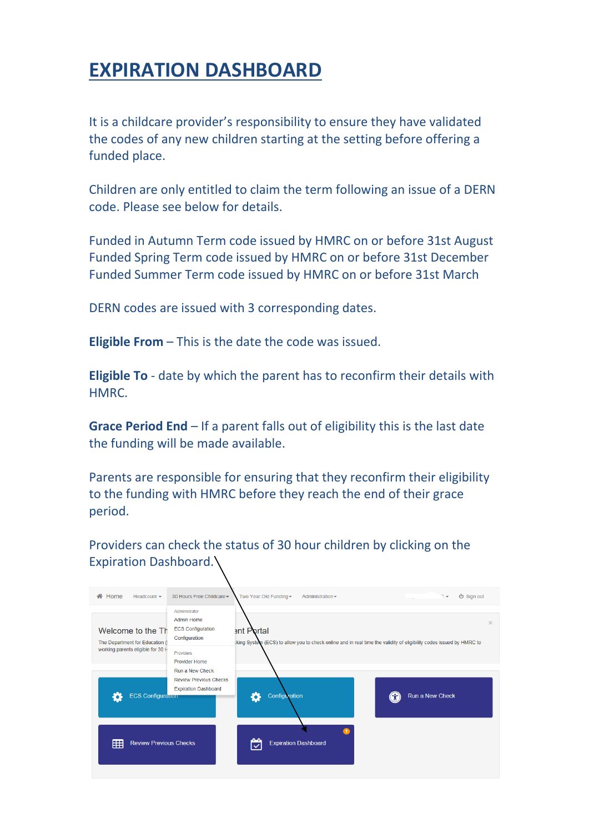## **EXPIRATION DASHBOARD**

It is a childcare provider's responsibility to ensure they have validated the codes of any new children starting at the setting before offering a funded place.

Children are only entitled to claim the term following an issue of a DERN code. Please see below for details.

Funded in Autumn Term code issued by HMRC on or before 31st August Funded Spring Term code issued by HMRC on or before 31st December Funded Summer Term code issued by HMRC on or before 31st March

DERN codes are issued with 3 corresponding dates.

**Eligible From** – This is the date the code was issued.

**Eligible To** - date by which the parent has to reconfirm their details with HMRC.

**Grace Period End** – If a parent falls out of eligibility this is the last date the funding will be made available.

Parents are responsible for ensuring that they reconfirm their eligibility to the funding with HMRC before they reach the end of their grace period.

Providers can check the status of 30 hour children by clicking on the Expiration Dashboard.